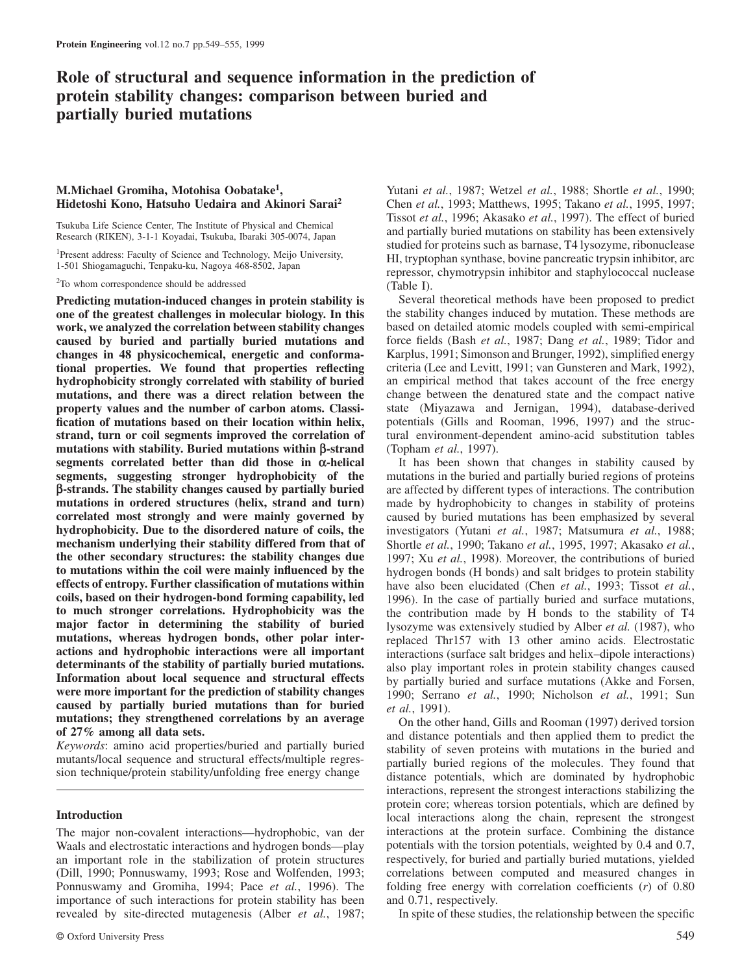# **Role of structural and sequence information in the prediction of protein stability changes: comparison between buried and partially buried mutations**

# **M.Michael Gromiha, Motohisa Oobatake<sup>1</sup> , Hidetoshi Kono, Hatsuho Uedaira and Akinori Sarai<sup>2</sup>**

Tsukuba Life Science Center, The Institute of Physical and Chemical Research (RIKEN), 3-1-1 Koyadai, Tsukuba, Ibaraki 305-0074, Japan

<sup>1</sup>Present address: Faculty of Science and Technology, Meijo University, 1-501 Shiogamaguchi, Tenpaku-ku, Nagoya 468-8502, Japan

<sup>2</sup>To whom correspondence should be addressed

**Predicting mutation-induced changes in protein stability is one of the greatest challenges in molecular biology. In this work, we analyzed the correlation between stability changes caused by buried and partially buried mutations and changes in 48 physicochemical, energetic and conformational properties. We found that properties reflecting hydrophobicity strongly correlated with stability of buried mutations, and there was a direct relation between the property values and the number of carbon atoms. Classification of mutations based on their location within helix, strand, turn or coil segments improved the correlation of mutations with stability. Buried mutations within β-strand segments correlated better than did those in α-helical segments, suggesting stronger hydrophobicity of the β-strands. The stability changes caused by partially buried mutations in ordered structures (helix, strand and turn) correlated most strongly and were mainly governed by hydrophobicity. Due to the disordered nature of coils, the mechanism underlying their stability differed from that of the other secondary structures: the stability changes due to mutations within the coil were mainly influenced by the effects of entropy. Further classification of mutations within coils, based on their hydrogen-bond forming capability, led to much stronger correlations. Hydrophobicity was the major factor in determining the stability of buried mutations, whereas hydrogen bonds, other polar interactions and hydrophobic interactions were all important determinants of the stability of partially buried mutations. Information about local sequence and structural effects were more important for the prediction of stability changes caused by partially buried mutations than for buried mutations; they strengthened correlations by an average of 27% among all data sets.**

*Keywords*: amino acid properties/buried and partially buried mutants/local sequence and structural effects/multiple regression technique/protein stability/unfolding free energy change

# **Introduction**

The major non-covalent interactions—hydrophobic, van der Waals and electrostatic interactions and hydrogen bonds—play an important role in the stabilization of protein structures (Dill, 1990; Ponnuswamy, 1993; Rose and Wolfenden, 1993; Ponnuswamy and Gromiha, 1994; Pace *et al.*, 1996). The importance of such interactions for protein stability has been revealed by site-directed mutagenesis (Alber *et al.*, 1987;

Chen *et al.*, 1993; Matthews, 1995; Takano *et al.*, 1995, 1997; Tissot *et al.*, 1996; Akasako *et al.*, 1997). The effect of buried and partially buried mutations on stability has been extensively studied for proteins such as barnase, T4 lysozyme, ribonuclease HI, tryptophan synthase, bovine pancreatic trypsin inhibitor, arc repressor, chymotrypsin inhibitor and staphylococcal nuclease (Table I). Several theoretical methods have been proposed to predict

Yutani *et al.*, 1987; Wetzel *et al.*, 1988; Shortle *et al.*, 1990;

the stability changes induced by mutation. These methods are based on detailed atomic models coupled with semi-empirical force fields (Bash *et al.*, 1987; Dang *et al.*, 1989; Tidor and Karplus, 1991; Simonson and Brunger, 1992), simplified energy criteria (Lee and Levitt, 1991; van Gunsteren and Mark, 1992), an empirical method that takes account of the free energy change between the denatured state and the compact native state (Miyazawa and Jernigan, 1994), database-derived potentials (Gills and Rooman, 1996, 1997) and the structural environment-dependent amino-acid substitution tables (Topham *et al.*, 1997).

It has been shown that changes in stability caused by mutations in the buried and partially buried regions of proteins are affected by different types of interactions. The contribution made by hydrophobicity to changes in stability of proteins caused by buried mutations has been emphasized by several investigators (Yutani *et al.*, 1987; Matsumura *et al.*, 1988; Shortle *et al.*, 1990; Takano *et al.*, 1995, 1997; Akasako *et al.*, 1997; Xu *et al.*, 1998). Moreover, the contributions of buried hydrogen bonds (H bonds) and salt bridges to protein stability have also been elucidated (Chen *et al.*, 1993; Tissot *et al.*, 1996). In the case of partially buried and surface mutations, the contribution made by H bonds to the stability of T4 lysozyme was extensively studied by Alber *et al.* (1987), who replaced Thr157 with 13 other amino acids. Electrostatic interactions (surface salt bridges and helix–dipole interactions) also play important roles in protein stability changes caused by partially buried and surface mutations (Akke and Forsen, 1990; Serrano *et al.*, 1990; Nicholson *et al.*, 1991; Sun *et al.*, 1991).

On the other hand, Gills and Rooman (1997) derived torsion and distance potentials and then applied them to predict the stability of seven proteins with mutations in the buried and partially buried regions of the molecules. They found that distance potentials, which are dominated by hydrophobic interactions, represent the strongest interactions stabilizing the protein core; whereas torsion potentials, which are defined by local interactions along the chain, represent the strongest interactions at the protein surface. Combining the distance potentials with the torsion potentials, weighted by 0.4 and 0.7, respectively, for buried and partially buried mutations, yielded correlations between computed and measured changes in folding free energy with correlation coefficients (*r*) of 0.80 and 0.71, respectively.

In spite of these studies, the relationship between the specific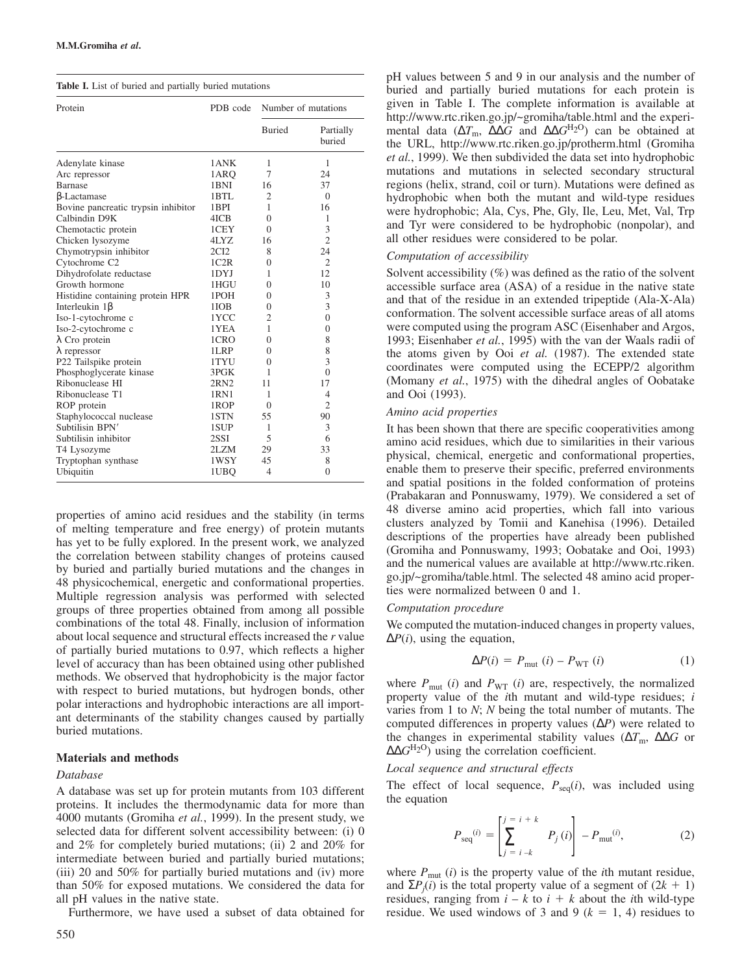| Protein                             | PDB code | Number of mutations |                     |  |  |
|-------------------------------------|----------|---------------------|---------------------|--|--|
|                                     |          | <b>Buried</b>       | Partially<br>buried |  |  |
| Adenylate kinase                    | 1 ANK    | 1                   | 1                   |  |  |
| Arc repressor                       | 1ARO     | 7                   | 24                  |  |  |
| Barnase                             | 1BNI     | 16                  | 37                  |  |  |
| <b>B-Lactamase</b>                  | 1BTL     | $\overline{c}$      | $\Omega$            |  |  |
| Bovine pancreatic trypsin inhibitor | 1BPI     | 1                   | 16                  |  |  |
| Calbindin D9K                       | 4ICB     | $\theta$            | 1                   |  |  |
| Chemotactic protein                 | 1CEY     | $\theta$            | 3                   |  |  |
| Chicken lysozyme                    | 4LYZ     | 16                  | $\overline{2}$      |  |  |
| Chymotrypsin inhibitor              | 2CI2     | 8                   | 24                  |  |  |
| Cytochrome C <sub>2</sub>           | 1C2R     | $\overline{0}$      | $\overline{2}$      |  |  |
| Dihydrofolate reductase             | 1DYJ     | 1                   | 12                  |  |  |
| Growth hormone                      | 1HGU     | $\theta$            | 10                  |  |  |
| Histidine containing protein HPR    | 1POH     | $\theta$            | 3                   |  |  |
| Interleukin 1 <sup>B</sup>          | 1IOB     | $\theta$            | 3                   |  |  |
| Iso-1-cytochrome c                  | 1YCC     | $\overline{2}$      | $\overline{0}$      |  |  |
| Iso-2-cytochrome c                  | 1YEA     | 1                   | $\overline{0}$      |  |  |
| $\lambda$ Cro protein               | 1CRO     | $\theta$            | 8                   |  |  |
| $\lambda$ repressor                 | 1LRP     | $\theta$            | 8                   |  |  |
| P22 Tailspike protein               | 1TYU     | $\theta$            | 3                   |  |  |
| Phosphoglycerate kinase             | 3PGK     | 1                   | $\theta$            |  |  |
| Ribonuclease HI                     | 2RN2     | 11                  | 17                  |  |  |
| Ribonuclease T1                     | 1RN1     | 1                   | $\overline{4}$      |  |  |
| ROP protein                         | 1ROP     | $\Omega$            | $\overline{2}$      |  |  |
| Staphylococcal nuclease             | 1STN     | 55                  | 90                  |  |  |
| Subtilisin BPN'                     | 1SUP     | 1                   | 3                   |  |  |
| Subtilisin inhibitor                | 2SSI     | 5                   | 6                   |  |  |
| T4 Lysozyme                         | 2LZM     | 29                  | 33                  |  |  |
| Tryptophan synthase                 | 1WSY     | 45                  | 8                   |  |  |
| Ubiquitin                           | 1UBO     | $\overline{4}$      | $\overline{0}$      |  |  |

properties of amino acid residues and the stability (in terms of melting temperature and free energy) of protein mutants has yet to be fully explored. In the present work, we analyzed the correlation between stability changes of proteins caused by buried and partially buried mutations and the changes in 48 physicochemical, energetic and conformational properties. Multiple regression analysis was performed with selected groups of three properties obtained from among all possible combinations of the total 48. Finally, inclusion of information about local sequence and structural effects increased the *r* value of partially buried mutations to 0.97, which reflects a higher level of accuracy than has been obtained using other published methods. We observed that hydrophobicity is the major factor with respect to buried mutations, but hydrogen bonds, other polar interactions and hydrophobic interactions are all important determinants of the stability changes caused by partially buried mutations.

# **Materials and methods**

### *Database*

A database was set up for protein mutants from 103 different proteins. It includes the thermodynamic data for more than 4000 mutants (Gromiha *et al.*, 1999). In the present study, we selected data for different solvent accessibility between: (i) 0 and 2% for completely buried mutations; (ii) 2 and 20% for intermediate between buried and partially buried mutations; (iii) 20 and 50% for partially buried mutations and (iv) more than 50% for exposed mutations. We considered the data for all pH values in the native state.

Furthermore, we have used a subset of data obtained for

pH values between 5 and 9 in our analysis and the number of buried and partially buried mutations for each protein is given in Table I. The complete information is available at http://www.rtc.riken.go.jp/~gromiha/table.html and the experimental data ( $\Delta T_{\text{m}}$ ,  $\Delta \Delta G$  and  $\Delta \Delta G^{\text{H}_2\text{O}}$ ) can be obtained at the URL, http://www.rtc.riken.go.jp/protherm.html (Gromiha *et al.*, 1999). We then subdivided the data set into hydrophobic mutations and mutations in selected secondary structural regions (helix, strand, coil or turn). Mutations were defined as hydrophobic when both the mutant and wild-type residues were hydrophobic; Ala, Cys, Phe, Gly, Ile, Leu, Met, Val, Trp and Tyr were considered to be hydrophobic (nonpolar), and all other residues were considered to be polar.

# *Computation of accessibility*

Solvent accessibility  $(\%)$  was defined as the ratio of the solvent accessible surface area (ASA) of a residue in the native state and that of the residue in an extended tripeptide (Ala-X-Ala) conformation. The solvent accessible surface areas of all atoms were computed using the program ASC (Eisenhaber and Argos, 1993; Eisenhaber *et al.*, 1995) with the van der Waals radii of the atoms given by Ooi *et al.* (1987). The extended state coordinates were computed using the ECEPP/2 algorithm (Momany *et al.*, 1975) with the dihedral angles of Oobatake and Ooi (1993).

# *Amino acid properties*

It has been shown that there are specific cooperativities among amino acid residues, which due to similarities in their various physical, chemical, energetic and conformational properties, enable them to preserve their specific, preferred environments and spatial positions in the folded conformation of proteins (Prabakaran and Ponnuswamy, 1979). We considered a set of 48 diverse amino acid properties, which fall into various clusters analyzed by Tomii and Kanehisa (1996). Detailed descriptions of the properties have already been published (Gromiha and Ponnuswamy, 1993; Oobatake and Ooi, 1993) and the numerical values are available at http://www.rtc.riken. go.jp/~gromiha/table.html. The selected 48 amino acid properties were normalized between 0 and 1.

### *Computation procedure*

We computed the mutation-induced changes in property values,  $\Delta P(i)$ , using the equation,

$$
\Delta P(i) = P_{\text{mut}}(i) - P_{\text{WT}}(i) \tag{1}
$$

where  $P_{\text{mut}}(i)$  and  $P_{\text{WT}}(i)$  are, respectively, the normalized property value of the *i*th mutant and wild-type residues; *i* varies from 1 to *N*; *N* being the total number of mutants. The computed differences in property values (∆*P*) were related to the changes in experimental stability values ( $\Delta T_{\text{m}}$ ,  $\Delta \Delta G$  or  $\Delta$ Δ $G$ <sup>H<sub>2</sub>O</sup>) using the correlation coefficient.

# *Local sequence and structural effects*

The effect of local sequence,  $P_{\text{seq}}(i)$ , was included using the equation

$$
P_{\text{seq}}^{(i)} = \left[ \sum_{j=i-k}^{j=i+k} P_j(i) \right] - P_{\text{mut}}^{(i)}, \tag{2}
$$

where  $P_{\text{mut}}(i)$  is the property value of the *i*th mutant residue, and  $\Sigma P_j(i)$  is the total property value of a segment of  $(2k + 1)$ residues, ranging from  $i - k$  to  $i + k$  about the *i*th wild-type residue. We used windows of 3 and 9 ( $k = 1, 4$ ) residues to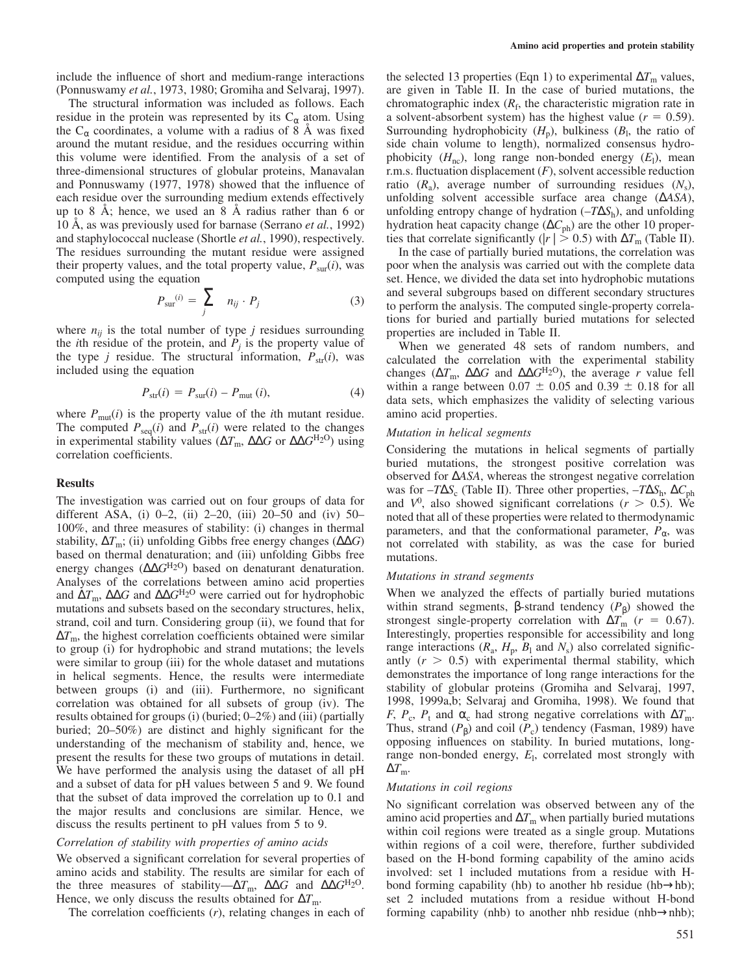include the influence of short and medium-range interactions (Ponnuswamy *et al.*, 1973, 1980; Gromiha and Selvaraj, 1997).

The structural information was included as follows. Each residue in the protein was represented by its  $C_{\alpha}$  atom. Using the  $C_{\alpha}$  coordinates, a volume with a radius of 8 Å was fixed around the mutant residue, and the residues occurring within this volume were identified. From the analysis of a set of three-dimensional structures of globular proteins, Manavalan and Ponnuswamy (1977, 1978) showed that the influence of each residue over the surrounding medium extends effectively up to 8 Å; hence, we used an 8 Å radius rather than 6 or 10 Å, as was previously used for barnase (Serrano *et al.*, 1992) and staphylococcal nuclease (Shortle *et al.*, 1990), respectively. The residues surrounding the mutant residue were assigned their property values, and the total property value,  $P_{\text{sur}}(i)$ , was computed using the equation

$$
P_{\text{sur}}^{(i)} = \sum_{j} n_{ij} \cdot P_{j} \tag{3}
$$

where  $n_{ij}$  is the total number of type *j* residues surrounding the *i*th residue of the protein, and  $P_j$  is the property value of the type *j* residue. The structural information,  $P_{\text{str}}(i)$ , was included using the equation

$$
P_{\rm str}(i) = P_{\rm sur}(i) - P_{\rm mut}(i),\tag{4}
$$

where  $P_{\text{mut}}(i)$  is the property value of the *i*th mutant residue. The computed  $P_{\text{seq}}(i)$  and  $P_{\text{str}}(i)$  were related to the changes in experimental stability values ( $\Delta T_m$ ,  $\Delta \Delta G$  or  $\Delta \Delta G^{H_2O}$ ) using correlation coefficients.

### **Results**

The investigation was carried out on four groups of data for different ASA, (i) 0–2, (ii) 2–20, (iii) 20–50 and (iv) 50– 100%, and three measures of stability: (i) changes in thermal stability,  $\Delta T_{\text{m}}$ ; (ii) unfolding Gibbs free energy changes ( $\Delta \Delta G$ ) based on thermal denaturation; and (iii) unfolding Gibbs free energy changes ( $ΔΔG<sup>H2O</sup>$ ) based on denaturant denaturation. Analyses of the correlations between amino acid properties and ∆*T*m, ∆∆*G* and ∆∆*G*H2O were carried out for hydrophobic mutations and subsets based on the secondary structures, helix, strand, coil and turn. Considering group (ii), we found that for  $\Delta T_{\text{m}}$ , the highest correlation coefficients obtained were similar to group (i) for hydrophobic and strand mutations; the levels were similar to group (iii) for the whole dataset and mutations in helical segments. Hence, the results were intermediate between groups (i) and (iii). Furthermore, no significant correlation was obtained for all subsets of group (iv). The results obtained for groups (i) (buried; 0–2%) and (iii) (partially buried; 20–50%) are distinct and highly significant for the understanding of the mechanism of stability and, hence, we present the results for these two groups of mutations in detail. We have performed the analysis using the dataset of all pH and a subset of data for pH values between 5 and 9. We found that the subset of data improved the correlation up to 0.1 and the major results and conclusions are similar. Hence, we discuss the results pertinent to pH values from 5 to 9.

# *Correlation of stability with properties of amino acids*

We observed a significant correlation for several properties of amino acids and stability. The results are similar for each of the three measures of stability—∆*T*<sub>m</sub>, ∆∆*G* and ∆∆*G*<sup>H<sub>2</sub>O</sup>. Hence, we only discuss the results obtained for Δ*T*<sub>m</sub>.

The correlation coefficients (*r*), relating changes in each of

the selected 13 properties (Eqn 1) to experimental  $\Delta T_m$  values, are given in Table II. In the case of buried mutations, the chromatographic index  $(R_f,$  the characteristic migration rate in a solvent-absorbent system) has the highest value  $(r = 0.59)$ . Surrounding hydrophobicity  $(H_p)$ , bulkiness  $(B_l)$ , the ratio of side chain volume to length), normalized consensus hydrophobicity  $(H_{nc})$ , long range non-bonded energy  $(E_l)$ , mean r.m.s. fluctuation displacement (*F*), solvent accessible reduction ratio  $(R_a)$ , average number of surrounding residues  $(N_s)$ , unfolding solvent accessible surface area change (∆*ASA*), unfolding entropy change of hydration (–*T*∆*S*<sup>h</sup> ), and unfolding hydration heat capacity change (ΔC<sub>ph</sub>) are the other 10 properties that correlate significantly ( $|r \mid > 0.5$ ) with  $\Delta T_{\text{m}}$  (Table II).

In the case of partially buried mutations, the correlation was poor when the analysis was carried out with the complete data set. Hence, we divided the data set into hydrophobic mutations and several subgroups based on different secondary structures to perform the analysis. The computed single-property correlations for buried and partially buried mutations for selected properties are included in Table II.

When we generated 48 sets of random numbers, and calculated the correlation with the experimental stability changes ( $\Delta T_{\text{m}}$ ,  $\Delta \Delta G$  and  $\Delta \Delta G^{\text{H}_2\text{O}}$ ), the average *r* value fell within a range between  $0.07 \pm 0.05$  and  $0.39 \pm 0.18$  for all data sets, which emphasizes the validity of selecting various amino acid properties.

### *Mutation in helical segments*

Considering the mutations in helical segments of partially buried mutations, the strongest positive correlation was observed for ∆*ASA*, whereas the strongest negative correlation was for  $-T\Delta S_c$  (Table II). Three other properties,  $-T\Delta S_h$ ,  $\Delta C_{ph}$ and  $V^0$ , also showed significant correlations ( $r > 0.5$ ). We noted that all of these properties were related to thermodynamic parameters, and that the conformational parameter,  $P_{\alpha}$ , was not correlated with stability, as was the case for buried mutations.

### *Mutations in strand segments*

When we analyzed the effects of partially buried mutations within strand segments, β-strand tendency  $(P<sub>β</sub>)$  showed the strongest single-property correlation with  $\Delta T_{\text{m}}$  (*r* = 0.67). Interestingly, properties responsible for accessibility and long range interactions  $(R_a, H_p, B_l \text{ and } N_s)$  also correlated significantly  $(r > 0.5)$  with experimental thermal stability, which demonstrates the importance of long range interactions for the stability of globular proteins (Gromiha and Selvaraj, 1997, 1998, 1999a,b; Selvaraj and Gromiha, 1998). We found that *F*,  $P_c$ ,  $P_t$  and  $\alpha_c$  had strong negative correlations with  $\Delta T_m$ . Thus, strand  $(P_\beta)$  and coil  $(P_c)$  tendency (Fasman, 1989) have opposing influences on stability. In buried mutations, longrange non-bonded energy, *E*<sup>l</sup> , correlated most strongly with  $\Delta T_{\text{m}}$ .

#### *Mutations in coil regions*

No significant correlation was observed between any of the amino acid properties and  $\Delta T$ <sub>m</sub> when partially buried mutations within coil regions were treated as a single group. Mutations within regions of a coil were, therefore, further subdivided based on the H-bond forming capability of the amino acids involved: set 1 included mutations from a residue with Hbond forming capability (hb) to another hb residue (hb $\rightarrow$ hb); set 2 included mutations from a residue without H-bond forming capability (nhb) to another nhb residue (nhb→nhb);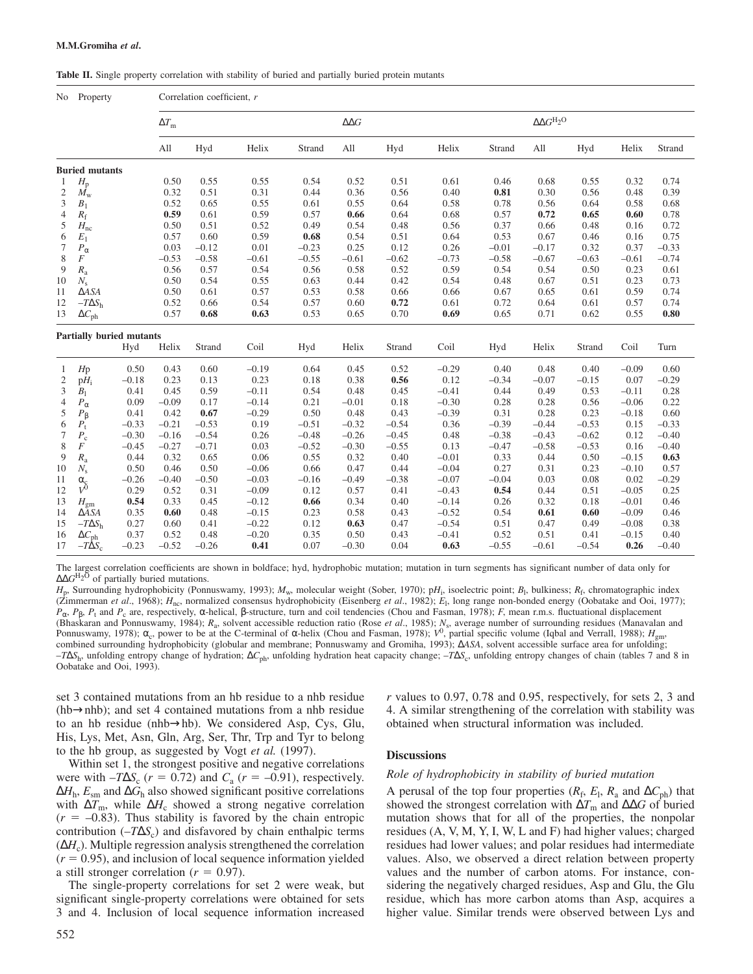**Table II.** Single property correlation with stability of buried and partially buried protein mutants

|                       | No Property                           |                 | Correlation coefficient, r |                 |                    |                  |              |              |                    |                                           |                 |                 |                    |                 |
|-----------------------|---------------------------------------|-----------------|----------------------------|-----------------|--------------------|------------------|--------------|--------------|--------------------|-------------------------------------------|-----------------|-----------------|--------------------|-----------------|
|                       | $\Delta T_{\rm m}$                    |                 |                            |                 |                    | $\Delta\Delta G$ |              |              |                    | $\Delta\Delta G^{\mathrm{H}_2\mathrm{O}}$ |                 |                 |                    |                 |
|                       |                                       |                 | All                        | Hyd             | Helix              | Strand           | All          | Hyd          | Helix              | Strand                                    | All             | Hyd             | Helix              | Strand          |
| <b>Buried mutants</b> |                                       |                 |                            |                 |                    |                  |              |              |                    |                                           |                 |                 |                    |                 |
| $\mathbf{1}$          | $H_{\rm p}$                           |                 | 0.50                       | 0.55            | 0.55               | 0.54             | 0.52         | 0.51         | 0.61               | 0.46                                      | 0.68            | 0.55            | 0.32               | 0.74            |
| $\overline{c}$        | $M_{\rm w}$                           |                 | 0.32                       | 0.51            | 0.31               | 0.44             | 0.36         | 0.56         | 0.40               | 0.81                                      | 0.30            | 0.56            | 0.48               | 0.39            |
| 3                     | $B_1$                                 |                 | 0.52                       | 0.65            | 0.55               | 0.61             | 0.55         | 0.64         | 0.58               | 0.78                                      | 0.56            | 0.64            | 0.58               | 0.68            |
| 4                     | $R_{\rm f}$                           |                 | 0.59                       | 0.61            | 0.59               | 0.57             | 0.66         | 0.64         | 0.68               | 0.57                                      | 0.72            | 0.65            | 0.60               | 0.78            |
| 5                     | $H_{\rm nc}$                          |                 | 0.50                       | 0.51            | 0.52<br>0.59       | 0.49<br>0.68     | 0.54<br>0.54 | 0.48         | 0.56               | 0.37                                      | 0.66            | 0.48            | 0.16<br>0.16       | 0.72            |
| 6<br>7                | $E_1$                                 |                 | 0.57<br>0.03               | 0.60<br>$-0.12$ | 0.01               | $-0.23$          | 0.25         | 0.51<br>0.12 | 0.64<br>0.26       | 0.53<br>$-0.01$                           | 0.67<br>$-0.17$ | 0.46<br>0.32    | 0.37               | 0.75<br>$-0.33$ |
| 8                     | $P_{\alpha}$<br>F                     |                 | $-0.53$                    | $-0.58$         | $-0.61$            | $-0.55$          | $-0.61$      | $-0.62$      | $-0.73$            | $-0.58$                                   | $-0.67$         | $-0.63$         | $-0.61$            | $-0.74$         |
| 9                     | $R_{\rm a}$                           |                 | 0.56                       | 0.57            | 0.54               | 0.56             | 0.58         | 0.52         | 0.59               | 0.54                                      | 0.54            | 0.50            | 0.23               | 0.61            |
| 10                    | $N_{\rm s}$                           |                 | 0.50                       | 0.54            | 0.55               | 0.63             | 0.44         | 0.42         | 0.54               | 0.48                                      | 0.67            | 0.51            | 0.23               | 0.73            |
| 11                    | $\triangle$ ASA                       |                 | 0.50                       | 0.61            | 0.57               | 0.53             | 0.58         | 0.66         | 0.66               | 0.67                                      | 0.65            | 0.61            | 0.59               | 0.74            |
| 12                    | $-T\Delta S_h$                        |                 | 0.52                       | 0.66            | 0.54               | 0.57             | 0.60         | 0.72         | 0.61               | 0.72                                      | 0.64            | 0.61            | 0.57               | 0.74            |
| 13                    | $\Delta C_{\rm ph}$                   |                 | 0.57                       | 0.68            | 0.63               | 0.53             | 0.65         | 0.70         | 0.69               | 0.65                                      | 0.71            | 0.62            | 0.55               | 0.80            |
|                       |                                       |                 |                            |                 |                    |                  |              |              |                    |                                           |                 |                 |                    |                 |
|                       | <b>Partially buried mutants</b>       | Hyd             | Helix                      | Strand          | Coil               | Hyd              | Helix        | Strand       | Coil               | Hyd                                       | Helix           | Strand          | Coil               | Turn            |
|                       |                                       |                 |                            |                 |                    |                  |              |              |                    |                                           |                 |                 |                    |                 |
| 1                     | Hp                                    | 0.50            | 0.43                       | 0.60            | $-0.19$            | 0.64             | 0.45         | 0.52         | $-0.29$            | 0.40                                      | 0.48            | 0.40            | $-0.09$            | 0.60            |
| $\mathfrak{2}$        | $pH_i$                                | $-0.18$         | 0.23                       | 0.13            | 0.23               | 0.18             | 0.38         | 0.56         | 0.12               | $-0.34$                                   | $-0.07$         | $-0.15$         | 0.07               | $-0.29$         |
| 3                     | B <sub>1</sub>                        | 0.41            | 0.45                       | 0.59            | $-0.11$            | 0.54             | 0.48         | 0.45         | $-0.41$            | 0.44                                      | 0.49            | 0.53            | $-0.11$            | 0.28            |
| $\overline{4}$        | $P_\alpha$                            | 0.09            | $-0.09$                    | 0.17            | $-0.14$            | 0.21             | $-0.01$      | 0.18         | $-0.30$            | 0.28                                      | 0.28            | 0.56            | $-0.06$            | 0.22            |
| 5                     | $P_{\beta}$                           | 0.41            | 0.42                       | 0.67            | $-0.29$            | 0.50             | 0.48         | 0.43         | $-0.39$            | 0.31                                      | 0.28            | 0.23            | $-0.18$            | 0.60            |
| 6                     | $P_{t}$                               | $-0.33$         | $-0.21$                    | $-0.53$         | 0.19               | $-0.51$          | $-0.32$      | $-0.54$      | 0.36               | $-0.39$                                   | $-0.44$         | $-0.53$         | 0.15               | $-0.33$         |
| $\tau$                | $P_{\rm c}$                           | $-0.30$         | $-0.16$                    | $-0.54$         | 0.26               | $-0.48$          | $-0.26$      | $-0.45$      | 0.48               | $-0.38$                                   | $-0.43$         | $-0.62$         | 0.12               | $-0.40$         |
| 8                     | F                                     | $-0.45$         | $-0.27$                    | $-0.71$         | 0.03               | $-0.52$          | $-0.30$      | $-0.55$      | 0.13               | $-0.47$                                   | $-0.58$         | $-0.53$         | 0.16               | $-0.40$         |
| 9                     | $R_{\rm a}$                           | 0.44            | 0.32                       | 0.65            | 0.06               | 0.55             | 0.32         | 0.40         | $-0.01$            | 0.33                                      | 0.44            | 0.50            | $-0.15$            | 0.63            |
| 10                    | $N_{\rm s}$                           | 0.50            | 0.46                       | 0.50            | $-0.06$            | 0.66             | 0.47         | 0.44         | $-0.04$            | 0.27                                      | 0.31            | 0.23            | $-0.10$            | 0.57            |
| 11                    | $\frac{\alpha_c}{V^0}$                | $-0.26$         | $-0.40$                    | $-0.50$         | $-0.03$            | $-0.16$          | $-0.49$      | $-0.38$      | $-0.07$            | $-0.04$                                   | 0.03            | 0.08            | 0.02               | $-0.29$         |
| 12                    |                                       | 0.29            | 0.52                       | 0.31            | $-0.09$            | 0.12             | 0.57         | 0.41         | $-0.43$            | 0.54                                      | 0.44            | 0.51            | $-0.05$            | 0.25            |
| 13                    | $H_{\rm gm}$                          | 0.54            | 0.33                       | 0.45            | $-0.12$            | 0.66             | 0.34         | 0.40         | $-0.14$            | 0.26                                      | 0.32            | 0.18            | $-0.01$<br>$-0.09$ | 0.46            |
| 14<br>15              | $\triangle$ ASA                       | 0.35            | 0.60                       | 0.48            | $-0.15$            | 0.23             | 0.58         | 0.43         | $-0.52$            | 0.54                                      | 0.61            | 0.60            |                    | 0.46            |
|                       | $-T\Delta S_{\rm h}$                  | 0.27            | 0.60<br>0.52               | 0.41<br>0.48    | $-0.22$<br>$-0.20$ | 0.12<br>0.35     | 0.63<br>0.50 | 0.47         | $-0.54$<br>$-0.41$ | 0.51<br>0.52                              | 0.47<br>0.51    | 0.49            | $-0.08$<br>$-0.15$ | 0.38<br>0.40    |
| 16<br>17              | $\Delta C_{\rm ph}$<br>$-T\Delta S_c$ | 0.37<br>$-0.23$ | $-0.52$                    | $-0.26$         | 0.41               | 0.07             | $-0.30$      | 0.43<br>0.04 | 0.63               | $-0.55$                                   | $-0.61$         | 0.41<br>$-0.54$ | 0.26               | $-0.40$         |
|                       |                                       |                 |                            |                 |                    |                  |              |              |                    |                                           |                 |                 |                    |                 |

The largest correlation coefficients are shown in boldface; hyd, hydrophobic mutation; mutation in turn segments has significant number of data only for ∆∆*G* H2O of partially buried mutations.

*H*p , Surrounding hydrophobicity (Ponnuswamy, 1993); *M*w, molecular weight (Sober, 1970); p*H*<sup>i</sup> , isoelectric point; *B*<sup>l</sup> , bulkiness; *R*<sup>f</sup> , chromatographic index (Zimmerman *et al.*, 1968);  $H_{\text{nc}}$ , normalized consensus hydrophobicity (Eisenberg *et al.*, 1982);  $E_{\text{I}}$ , long range non-bonded energy (Oobatake and Ooi, 1977); *P*<sub>α</sub>, *P*<sub>β</sub>, *P*<sub>t</sub> and *P*<sub>c</sub> are, respectively, α-helical, β-structure, turn and coil tendencies (Chou and Fasman, 1978); *F*, mean r.m.s. fluctuational displacement (Bhaskaran and Ponnuswamy, 1984); *R*<sub>a</sub>, solvent accessible reduction ratio (Rose *et al.*, 1985); *N*<sub>s</sub>, average number of surrounding residues (Manavalan and Ponnuswamy, 1978);  $\alpha_c$ , power to be at the C-terminal of  $\alpha$ -helix (Chou and Fasman, 1978);  $V^0$ , partial specific volume (Iqbal and Verrall, 1988);  $H_{gm}$ , combined surrounding hydrophobicity (globular and membrane; Ponnuswamy and Gromiha, 1993); ∆*ASA*, solvent accessible surface area for unfolding; –*T*∆*S*<sup>h</sup> , unfolding entropy change of hydration; ∆*C*ph, unfolding hydration heat capacity change; –*T*∆*S*<sup>c</sup> , unfolding entropy changes of chain (tables 7 and 8 in Oobatake and Ooi, 1993).

set 3 contained mutations from an hb residue to a nhb residue (hb→nhb); and set 4 contained mutations from a nhb residue to an hb residue (nhb→hb). We considered Asp, Cys, Glu, His, Lys, Met, Asn, Gln, Arg, Ser, Thr, Trp and Tyr to belong to the hb group, as suggested by Vogt *et al.* (1997).

Within set 1, the strongest positive and negative correlations were with  $-T\Delta S_c$  ( $r = 0.72$ ) and  $C_a$  ( $r = -0.91$ ), respectively. ∆*H*<sup>h</sup> , *E*sm and ∆*G*<sup>h</sup> also showed significant positive correlations with  $\Delta T_{\text{m}}$ , while  $\Delta H_c$  showed a strong negative correlation  $(r = -0.83)$ . Thus stability is favored by the chain entropic contribution (–*T*∆*S*<sup>c</sup> ) and disfavored by chain enthalpic terms (∆*H*<sup>c</sup> ). Multiple regression analysis strengthened the correlation  $(r = 0.95)$ , and inclusion of local sequence information yielded a still stronger correlation ( $r = 0.97$ ).

The single-property correlations for set 2 were weak, but significant single-property correlations were obtained for sets 3 and 4. Inclusion of local sequence information increased *r* values to 0.97, 0.78 and 0.95, respectively, for sets 2, 3 and 4. A similar strengthening of the correlation with stability was obtained when structural information was included.

# **Discussions**

### *Role of hydrophobicity in stability of buried mutation*

A perusal of the top four properties  $(R_f, E_l, R_a$  and  $\Delta C_{ph}$ ) that showed the strongest correlation with  $\Delta T_m$  and  $\Delta \Delta G$  of buried mutation shows that for all of the properties, the nonpolar residues (A, V, M, Y, I, W, L and F) had higher values; charged residues had lower values; and polar residues had intermediate values. Also, we observed a direct relation between property values and the number of carbon atoms. For instance, considering the negatively charged residues, Asp and Glu, the Glu residue, which has more carbon atoms than Asp, acquires a higher value. Similar trends were observed between Lys and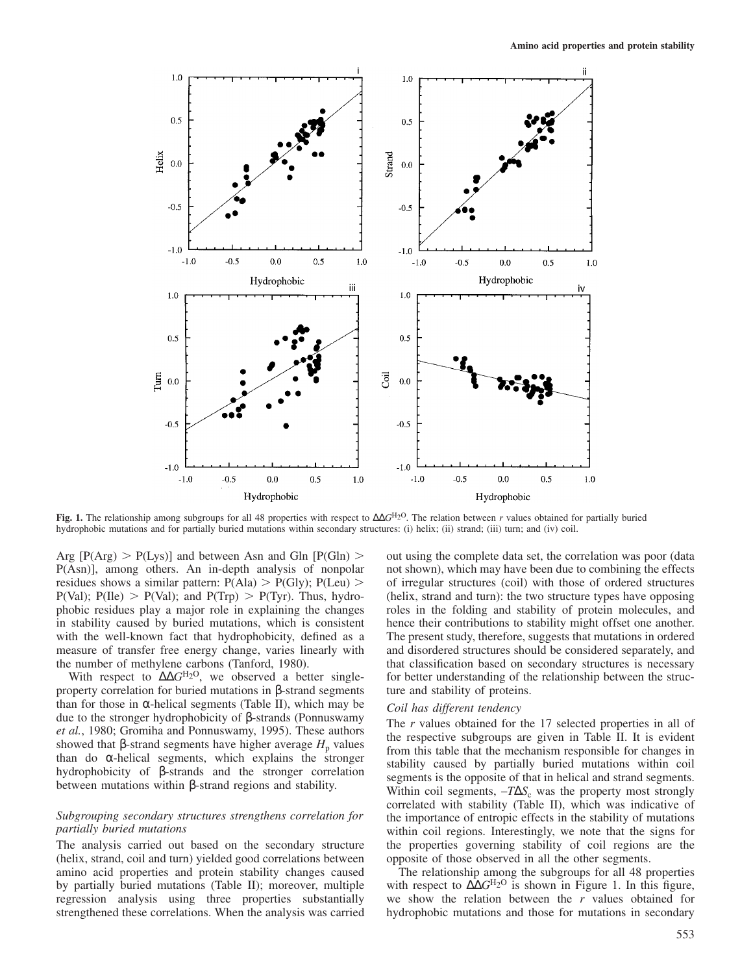

**Fig. 1.** The relationship among subgroups for all 48 properties with respect to ∆ $G<sup>H2O</sup>$ . The relation between *r* values obtained for partially buried hydrophobic mutations and for partially buried mutations within secondary structures: (i) helix; (ii) strand; (iii) turn; and (iv) coil.

Arg  $[P(Arg) > P(Lys)]$  and between Asn and Gln  $[P(Gln) >$ P(Asn)], among others. An in-depth analysis of nonpolar residues shows a similar pattern:  $P(AIa) > P(GIy)$ ;  $P(Leu)$  $P(Val)$ ;  $P(IIe) > P(Val)$ ; and  $P(Trp) > P(Tyr)$ . Thus, hydrophobic residues play a major role in explaining the changes in stability caused by buried mutations, which is consistent with the well-known fact that hydrophobicity, defined as a measure of transfer free energy change, varies linearly with the number of methylene carbons (Tanford, 1980).

With respect to ΔΔ*G*<sup>H<sub>2</sub>O</sup>, we observed a better singleproperty correlation for buried mutations in β-strand segments than for those in α-helical segments (Table II), which may be due to the stronger hydrophobicity of β-strands (Ponnuswamy *et al.*, 1980; Gromiha and Ponnuswamy, 1995). These authors showed that β-strand segments have higher average  $H_p$  values than do α-helical segments, which explains the stronger hydrophobicity of β-strands and the stronger correlation between mutations within β-strand regions and stability.

# *Subgrouping secondary structures strengthens correlation for partially buried mutations*

The analysis carried out based on the secondary structure (helix, strand, coil and turn) yielded good correlations between amino acid properties and protein stability changes caused by partially buried mutations (Table II); moreover, multiple regression analysis using three properties substantially strengthened these correlations. When the analysis was carried out using the complete data set, the correlation was poor (data not shown), which may have been due to combining the effects of irregular structures (coil) with those of ordered structures (helix, strand and turn): the two structure types have opposing roles in the folding and stability of protein molecules, and hence their contributions to stability might offset one another. The present study, therefore, suggests that mutations in ordered and disordered structures should be considered separately, and that classification based on secondary structures is necessary for better understanding of the relationship between the structure and stability of proteins.

# *Coil has different tendency*

The *r* values obtained for the 17 selected properties in all of the respective subgroups are given in Table II. It is evident from this table that the mechanism responsible for changes in stability caused by partially buried mutations within coil segments is the opposite of that in helical and strand segments. Within coil segments,  $-TΔS<sub>c</sub>$  was the property most strongly correlated with stability (Table II), which was indicative of the importance of entropic effects in the stability of mutations within coil regions. Interestingly, we note that the signs for the properties governing stability of coil regions are the opposite of those observed in all the other segments.

The relationship among the subgroups for all 48 properties with respect to ∆∆*G*H2O is shown in Figure 1. In this figure, we show the relation between the *r* values obtained for hydrophobic mutations and those for mutations in secondary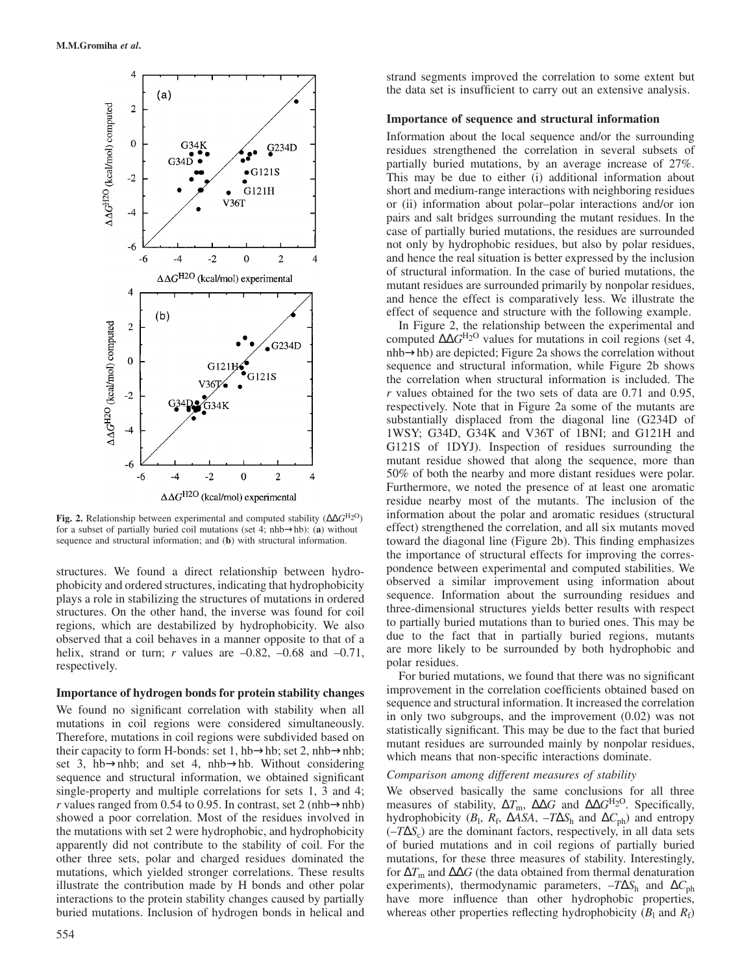

**Fig. 2.** Relationship between experimental and computed stability (∆∆*G* H2O) for a subset of partially buried coil mutations (set 4; nhb→hb): (**a**) without sequence and structural information; and (**b**) with structural information.

structures. We found a direct relationship between hydrophobicity and ordered structures, indicating that hydrophobicity plays a role in stabilizing the structures of mutations in ordered structures. On the other hand, the inverse was found for coil regions, which are destabilized by hydrophobicity. We also observed that a coil behaves in a manner opposite to that of a helix, strand or turn; *r* values are  $-0.82$ ,  $-0.68$  and  $-0.71$ , respectively.

### **Importance of hydrogen bonds for protein stability changes**

We found no significant correlation with stability when all mutations in coil regions were considered simultaneously. Therefore, mutations in coil regions were subdivided based on their capacity to form H-bonds: set 1, hb→hb; set 2, nhb→nhb; set 3, hb→nhb; and set 4, nhb→hb. Without considering sequence and structural information, we obtained significant single-property and multiple correlations for sets 1, 3 and 4; *r* values ranged from 0.54 to 0.95. In contrast, set 2 (nhb $\rightarrow$ nhb) showed a poor correlation. Most of the residues involved in the mutations with set 2 were hydrophobic, and hydrophobicity apparently did not contribute to the stability of coil. For the other three sets, polar and charged residues dominated the mutations, which yielded stronger correlations. These results illustrate the contribution made by H bonds and other polar interactions to the protein stability changes caused by partially buried mutations. Inclusion of hydrogen bonds in helical and strand segments improved the correlation to some extent but the data set is insufficient to carry out an extensive analysis.

# **Importance of sequence and structural information**

Information about the local sequence and/or the surrounding residues strengthened the correlation in several subsets of partially buried mutations, by an average increase of 27%. This may be due to either (i) additional information about short and medium-range interactions with neighboring residues or (ii) information about polar–polar interactions and/or ion pairs and salt bridges surrounding the mutant residues. In the case of partially buried mutations, the residues are surrounded not only by hydrophobic residues, but also by polar residues, and hence the real situation is better expressed by the inclusion of structural information. In the case of buried mutations, the mutant residues are surrounded primarily by nonpolar residues, and hence the effect is comparatively less. We illustrate the effect of sequence and structure with the following example.

In Figure 2, the relationship between the experimental and computed ∆∆*G*H2O values for mutations in coil regions (set 4, nhb→hb) are depicted; Figure 2a shows the correlation without sequence and structural information, while Figure 2b shows the correlation when structural information is included. The *r* values obtained for the two sets of data are 0.71 and 0.95, respectively. Note that in Figure 2a some of the mutants are substantially displaced from the diagonal line (G234D of 1WSY; G34D, G34K and V36T of 1BNI; and G121H and G121S of 1DYJ). Inspection of residues surrounding the mutant residue showed that along the sequence, more than 50% of both the nearby and more distant residues were polar. Furthermore, we noted the presence of at least one aromatic residue nearby most of the mutants. The inclusion of the information about the polar and aromatic residues (structural effect) strengthened the correlation, and all six mutants moved toward the diagonal line (Figure 2b). This finding emphasizes the importance of structural effects for improving the correspondence between experimental and computed stabilities. We observed a similar improvement using information about sequence. Information about the surrounding residues and three-dimensional structures yields better results with respect to partially buried mutations than to buried ones. This may be due to the fact that in partially buried regions, mutants are more likely to be surrounded by both hydrophobic and polar residues.

For buried mutations, we found that there was no significant improvement in the correlation coefficients obtained based on sequence and structural information. It increased the correlation in only two subgroups, and the improvement (0.02) was not statistically significant. This may be due to the fact that buried mutant residues are surrounded mainly by nonpolar residues, which means that non-specific interactions dominate.

### *Comparison among different measures of stability*

We observed basically the same conclusions for all three measures of stability,  $\Delta T_{\text{m}}$ ,  $\Delta \Delta G$  and  $\Delta \Delta G^{\text{H}_2\text{O}}$ . Specifically, hydrophobicity ( $B_1$ ,  $R_f$ ,  $\Delta$ *ASA*,  $-T\Delta S_h$  and  $\Delta C_{ph}$ ) and entropy  $(-T\Delta S_c)$  are the dominant factors, respectively, in all data sets of buried mutations and in coil regions of partially buried mutations, for these three measures of stability. Interestingly, for ∆*T*<sup>m</sup> and ∆∆*G* (the data obtained from thermal denaturation experiments), thermodynamic parameters,  $-T\Delta S_h$  and  $\Delta C_{ph}$ have more influence than other hydrophobic properties, whereas other properties reflecting hydrophobicity  $(B_1 \text{ and } R_f)$